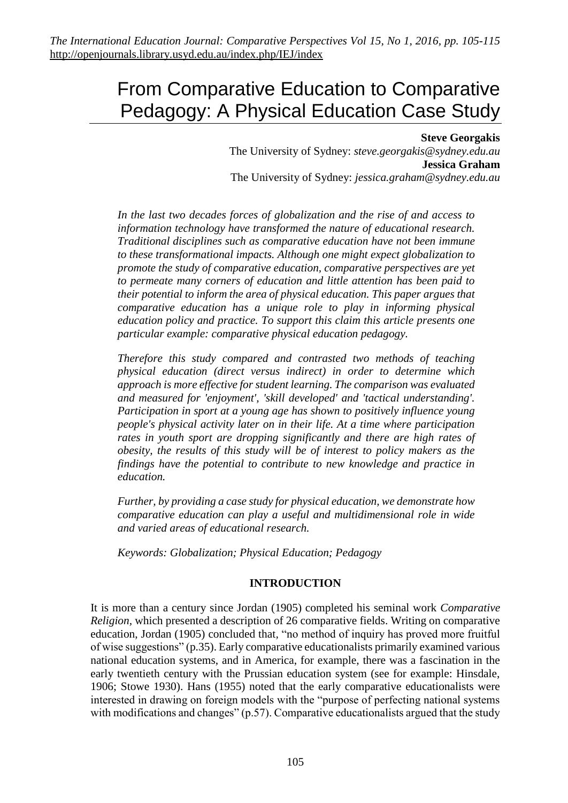# From Comparative Education to Comparative Pedagogy: A Physical Education Case Study

#### **Steve Georgakis** The University of Sydney: *steve.georgakis@sydney.edu.au* **Jessica Graham** The University of Sydney: *jessica.graham@sydney.edu.au*

*In the last two decades forces of globalization and the rise of and access to information technology have transformed the nature of educational research. Traditional disciplines such as comparative education have not been immune to these transformational impacts. Although one might expect globalization to promote the study of comparative education, comparative perspectives are yet to permeate many corners of education and little attention has been paid to their potential to inform the area of physical education. This paper argues that comparative education has a unique role to play in informing physical education policy and practice. To support this claim this article presents one particular example: comparative physical education pedagogy.* 

*Therefore this study compared and contrasted two methods of teaching physical education (direct versus indirect) in order to determine which approach is more effective for student learning. The comparison was evaluated and measured for 'enjoyment', 'skill developed' and 'tactical understanding'. Participation in sport at a young age has shown to positively influence young people's physical activity later on in their life. At a time where participation rates in youth sport are dropping significantly and there are high rates of obesity, the results of this study will be of interest to policy makers as the findings have the potential to contribute to new knowledge and practice in education.*

*Further, by providing a case study for physical education, we demonstrate how comparative education can play a useful and multidimensional role in wide and varied areas of educational research.* 

*Keywords: Globalization; Physical Education; Pedagogy*

## **INTRODUCTION**

It is more than a century since Jordan (1905) completed his seminal work *Comparative Religion,* which presented a description of 26 comparative fields. Writing on comparative education, Jordan (1905) concluded that*,* "no method of inquiry has proved more fruitful of wise suggestions" (p.35). Early comparative educationalists primarily examined various national education systems, and in America, for example, there was a fascination in the early twentieth century with the Prussian education system (see for example: Hinsdale, 1906; Stowe 1930). Hans (1955) noted that the early comparative educationalists were interested in drawing on foreign models with the "purpose of perfecting national systems with modifications and changes" (p.57). Comparative educationalists argued that the study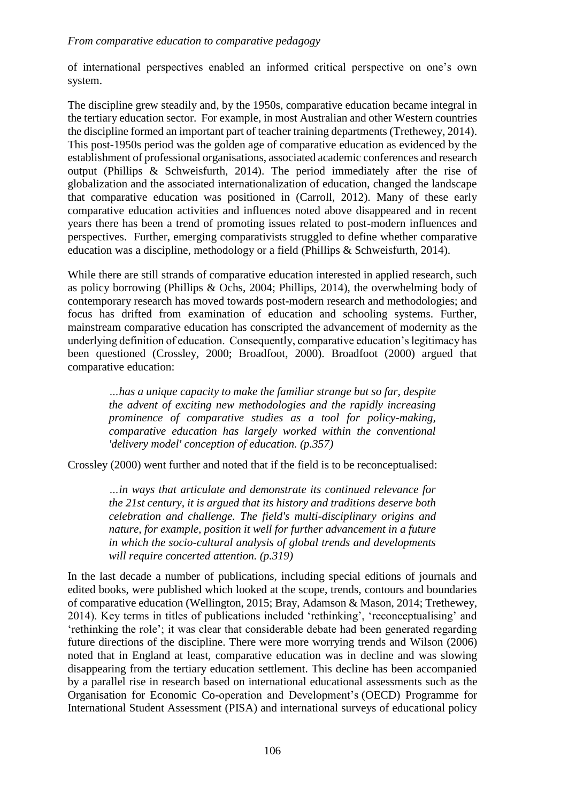#### *From comparative education to comparative pedagogy*

of international perspectives enabled an informed critical perspective on one's own system.

The discipline grew steadily and, by the 1950s, comparative education became integral in the tertiary education sector. For example, in most Australian and other Western countries the discipline formed an important part of teacher training departments (Trethewey, 2014). This post-1950s period was the golden age of comparative education as evidenced by the establishment of professional organisations, associated academic conferences and research output (Phillips & Schweisfurth, 2014). The period immediately after the rise of globalization and the associated internationalization of education, changed the landscape that comparative education was positioned in (Carroll, 2012). Many of these early comparative education activities and influences noted above disappeared and in recent years there has been a trend of promoting issues related to post-modern influences and perspectives. Further, emerging comparativists struggled to define whether comparative education was a discipline, methodology or a field (Phillips & Schweisfurth, 2014).

While there are still strands of comparative education interested in applied research, such as policy borrowing (Phillips & Ochs, 2004; Phillips, 2014), the overwhelming body of contemporary research has moved towards post-modern research and methodologies; and focus has drifted from examination of education and schooling systems. Further, mainstream comparative education has conscripted the advancement of modernity as the underlying definition of education. Consequently, comparative education's legitimacy has been questioned (Crossley, 2000; Broadfoot, 2000). Broadfoot (2000) argued that comparative education:

*…has a unique capacity to make the familiar strange but so far, despite the advent of exciting new methodologies and the rapidly increasing prominence of comparative studies as a tool for policy-making, comparative education has largely worked within the conventional 'delivery model' conception of education. (p.357)*

Crossley (2000) went further and noted that if the field is to be reconceptualised:

*…in ways that articulate and demonstrate its continued relevance for the 21st century, it is argued that its history and traditions deserve both celebration and challenge. The field's multi-disciplinary origins and nature, for example, position it well for further advancement in a future in which the socio-cultural analysis of global trends and developments will require concerted attention. (p.319)*

In the last decade a number of publications, including special editions of journals and edited books, were published which looked at the scope, trends, contours and boundaries of comparative education (Wellington, 2015; Bray, Adamson & Mason, 2014; Trethewey, 2014). Key terms in titles of publications included 'rethinking', 'reconceptualising' and 'rethinking the role'; it was clear that considerable debate had been generated regarding future directions of the discipline. There were more worrying trends and Wilson (2006) noted that in England at least, comparative education was in decline and was slowing disappearing from the tertiary education settlement. This decline has been accompanied by a parallel rise in research based on international educational assessments such as the Organisation for Economic Co-operation and Development's (OECD) Programme for International Student Assessment (PISA) and international surveys of educational policy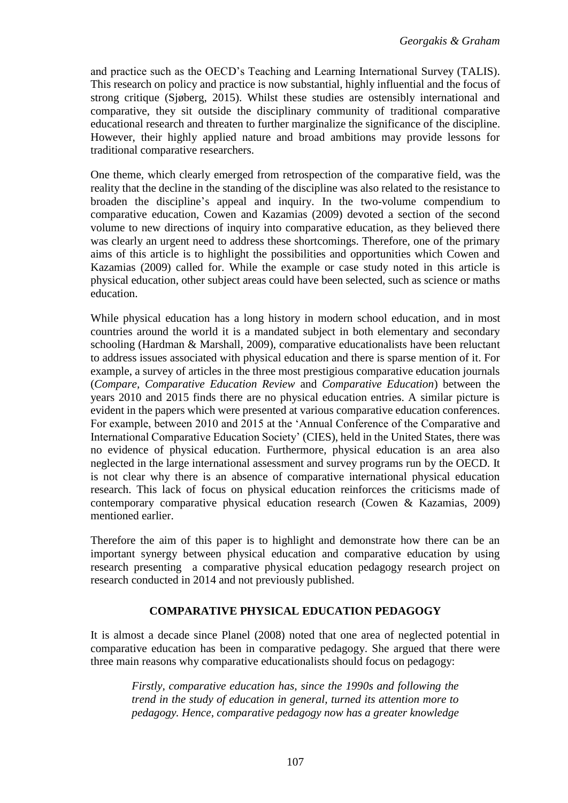and practice such as the OECD's Teaching and Learning International Survey (TALIS). This research on policy and practice is now substantial, highly influential and the focus of strong critique (Sjøberg, 2015). Whilst these studies are ostensibly international and comparative, they sit outside the disciplinary community of traditional comparative educational research and threaten to further marginalize the significance of the discipline. However, their highly applied nature and broad ambitions may provide lessons for traditional comparative researchers.

One theme, which clearly emerged from retrospection of the comparative field, was the reality that the decline in the standing of the discipline was also related to the resistance to broaden the discipline's appeal and inquiry. In the two-volume compendium to comparative education, Cowen and Kazamias (2009) devoted a section of the second volume to new directions of inquiry into comparative education, as they believed there was clearly an urgent need to address these shortcomings. Therefore, one of the primary aims of this article is to highlight the possibilities and opportunities which Cowen and Kazamias (2009) called for. While the example or case study noted in this article is physical education, other subject areas could have been selected, such as science or maths education.

While physical education has a long history in modern school education, and in most countries around the world it is a mandated subject in both elementary and secondary schooling (Hardman & Marshall, 2009), comparative educationalists have been reluctant to address issues associated with physical education and there is sparse mention of it. For example, a survey of articles in the three most prestigious comparative education journals (*Compare, Comparative Education Review* and *Comparative Education*) between the years 2010 and 2015 finds there are no physical education entries. A similar picture is evident in the papers which were presented at various comparative education conferences. For example, between 2010 and 2015 at the 'Annual Conference of the Comparative and International Comparative Education Society' (CIES), held in the United States, there was no evidence of physical education. Furthermore, physical education is an area also neglected in the large international assessment and survey programs run by the OECD. It is not clear why there is an absence of comparative international physical education research. This lack of focus on physical education reinforces the criticisms made of contemporary comparative physical education research (Cowen & Kazamias, 2009) mentioned earlier.

Therefore the aim of this paper is to highlight and demonstrate how there can be an important synergy between physical education and comparative education by using research presenting a comparative physical education pedagogy research project on research conducted in 2014 and not previously published.

## **COMPARATIVE PHYSICAL EDUCATION PEDAGOGY**

It is almost a decade since Planel (2008) noted that one area of neglected potential in comparative education has been in comparative pedagogy. She argued that there were three main reasons why comparative educationalists should focus on pedagogy:

*Firstly, comparative education has, since the 1990s and following the trend in the study of education in general, turned its attention more to pedagogy. Hence, comparative pedagogy now has a greater knowledge*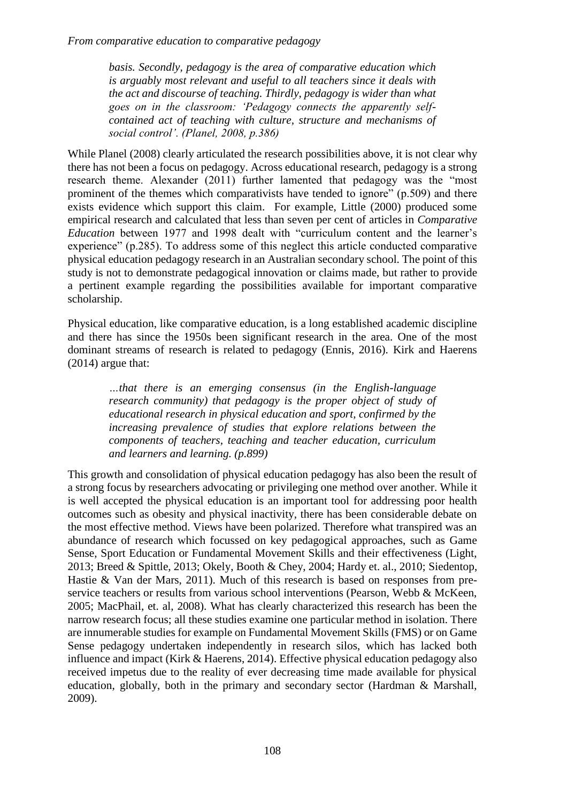*From comparative education to comparative pedagogy*

*basis. Secondly, pedagogy is the area of comparative education which is arguably most relevant and useful to all teachers since it deals with the act and discourse of teaching. Thirdly, pedagogy is wider than what goes on in the classroom: 'Pedagogy connects the apparently selfcontained act of teaching with culture, structure and mechanisms of social control'. (Planel, 2008, p.386)*

While Planel (2008) clearly articulated the research possibilities above, it is not clear why there has not been a focus on pedagogy. Across educational research, pedagogy is a strong research theme. Alexander (2011) further lamented that pedagogy was the "most prominent of the themes which comparativists have tended to ignore" (p.509) and there exists evidence which support this claim. For example, Little (2000) produced some empirical research and calculated that less than seven per cent of articles in *Comparative Education* between 1977 and 1998 dealt with "curriculum content and the learner's experience" (p.285). To address some of this neglect this article conducted comparative physical education pedagogy research in an Australian secondary school. The point of this study is not to demonstrate pedagogical innovation or claims made, but rather to provide a pertinent example regarding the possibilities available for important comparative scholarship.

Physical education, like comparative education, is a long established academic discipline and there has since the 1950s been significant research in the area. One of the most dominant streams of research is related to pedagogy (Ennis, 2016). Kirk and Haerens (2014) argue that:

> *…that there is an emerging consensus (in the English-language research community) that pedagogy is the proper object of study of educational research in physical education and sport, confirmed by the increasing prevalence of studies that explore relations between the components of teachers, teaching and teacher education, curriculum and learners and learning. (p.899)*

This growth and consolidation of physical education pedagogy has also been the result of a strong focus by researchers advocating or privileging one method over another. While it is well accepted the physical education is an important tool for addressing poor health outcomes such as obesity and physical inactivity, there has been considerable debate on the most effective method. Views have been polarized. Therefore what transpired was an abundance of research which focussed on key pedagogical approaches, such as Game Sense, Sport Education or Fundamental Movement Skills and their effectiveness (Light, 2013; Breed & Spittle, 2013; Okely, Booth & Chey, 2004; Hardy et. al., 2010; Siedentop, Hastie & Van der Mars, 2011). Much of this research is based on responses from preservice teachers or results from various school interventions (Pearson, Webb & McKeen, 2005; MacPhail, et. al, 2008). What has clearly characterized this research has been the narrow research focus; all these studies examine one particular method in isolation. There are innumerable studies for example on Fundamental Movement Skills (FMS) or on Game Sense pedagogy undertaken independently in research silos, which has lacked both influence and impact (Kirk & Haerens, 2014). Effective physical education pedagogy also received impetus due to the reality of ever decreasing time made available for physical education, globally, both in the primary and secondary sector (Hardman & Marshall, 2009).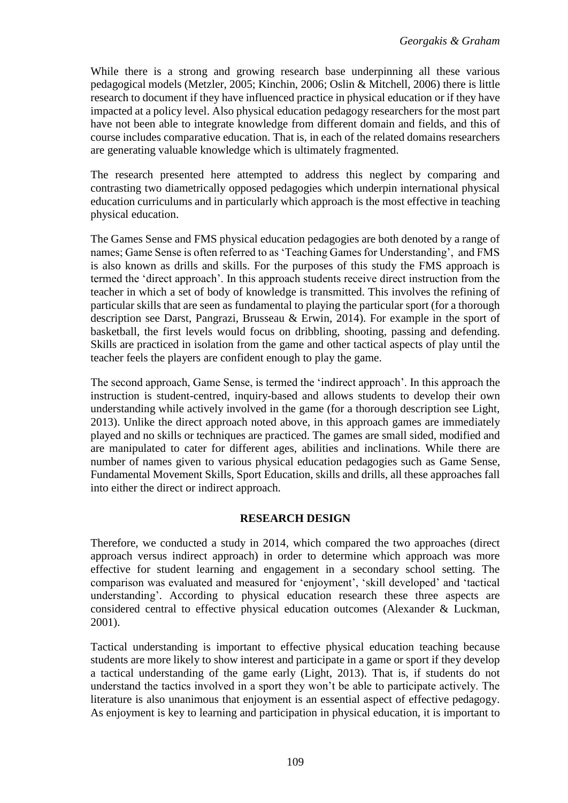While there is a strong and growing research base underpinning all these various pedagogical models (Metzler, 2005; Kinchin, 2006; Oslin & Mitchell, 2006) there is little research to document if they have influenced practice in physical education or if they have impacted at a policy level. Also physical education pedagogy researchers for the most part have not been able to integrate knowledge from different domain and fields, and this of course includes comparative education. That is, in each of the related domains researchers are generating valuable knowledge which is ultimately fragmented.

The research presented here attempted to address this neglect by comparing and contrasting two diametrically opposed pedagogies which underpin international physical education curriculums and in particularly which approach is the most effective in teaching physical education.

The Games Sense and FMS physical education pedagogies are both denoted by a range of names; Game Sense is often referred to as 'Teaching Games for Understanding', and FMS is also known as drills and skills. For the purposes of this study the FMS approach is termed the 'direct approach'. In this approach students receive direct instruction from the teacher in which a set of body of knowledge is transmitted. This involves the refining of particular skills that are seen as fundamental to playing the particular sport (for a thorough description see Darst, Pangrazi, Brusseau & Erwin, 2014). For example in the sport of basketball, the first levels would focus on dribbling, shooting, passing and defending. Skills are practiced in isolation from the game and other tactical aspects of play until the teacher feels the players are confident enough to play the game.

The second approach, Game Sense, is termed the 'indirect approach'. In this approach the instruction is student-centred, inquiry-based and allows students to develop their own understanding while actively involved in the game (for a thorough description see Light, 2013). Unlike the direct approach noted above, in this approach games are immediately played and no skills or techniques are practiced. The games are small sided, modified and are manipulated to cater for different ages, abilities and inclinations. While there are number of names given to various physical education pedagogies such as Game Sense, Fundamental Movement Skills, Sport Education, skills and drills, all these approaches fall into either the direct or indirect approach.

## **RESEARCH DESIGN**

Therefore, we conducted a study in 2014, which compared the two approaches (direct approach versus indirect approach) in order to determine which approach was more effective for student learning and engagement in a secondary school setting. The comparison was evaluated and measured for 'enjoyment', 'skill developed' and 'tactical understanding'. According to physical education research these three aspects are considered central to effective physical education outcomes (Alexander & Luckman, 2001).

Tactical understanding is important to effective physical education teaching because students are more likely to show interest and participate in a game or sport if they develop a tactical understanding of the game early (Light, 2013). That is, if students do not understand the tactics involved in a sport they won't be able to participate actively. The literature is also unanimous that enjoyment is an essential aspect of effective pedagogy. As enjoyment is key to learning and participation in physical education, it is important to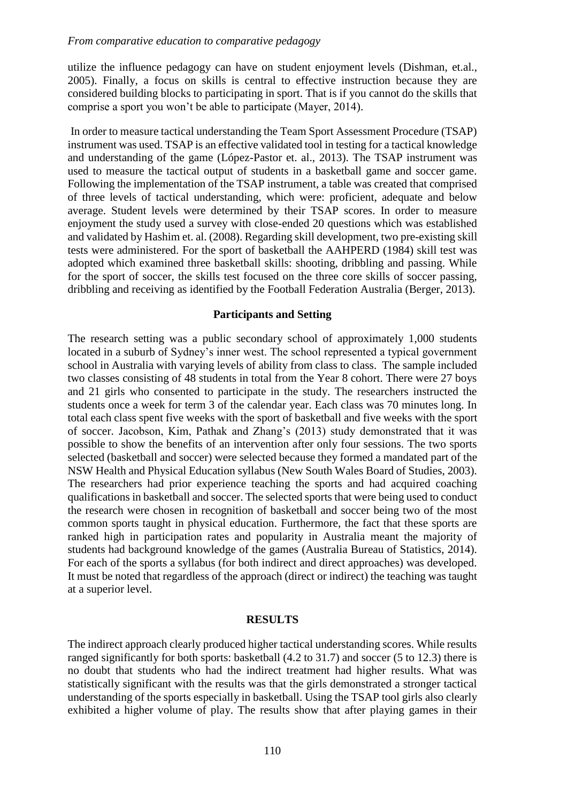utilize the influence pedagogy can have on student enjoyment levels (Dishman, et.al., 2005). Finally, a focus on skills is central to effective instruction because they are considered building blocks to participating in sport. That is if you cannot do the skills that comprise a sport you won't be able to participate (Mayer, 2014).

In order to measure tactical understanding the Team Sport Assessment Procedure (TSAP) instrument was used. TSAP is an effective validated tool in testing for a tactical knowledge and understanding of the game (López-Pastor et. al., 2013). The TSAP instrument was used to measure the tactical output of students in a basketball game and soccer game. Following the implementation of the TSAP instrument, a table was created that comprised of three levels of tactical understanding, which were: proficient, adequate and below average. Student levels were determined by their TSAP scores. In order to measure enjoyment the study used a survey with close-ended 20 questions which was established and validated by Hashim et. al. (2008). Regarding skill development, two pre-existing skill tests were administered. For the sport of basketball the AAHPERD (1984) skill test was adopted which examined three basketball skills: shooting, dribbling and passing. While for the sport of soccer, the skills test focused on the three core skills of soccer passing, dribbling and receiving as identified by the Football Federation Australia (Berger, 2013).

#### **Participants and Setting**

The research setting was a public secondary school of approximately 1,000 students located in a suburb of Sydney's inner west. The school represented a typical government school in Australia with varying levels of ability from class to class. The sample included two classes consisting of 48 students in total from the Year 8 cohort. There were 27 boys and 21 girls who consented to participate in the study. The researchers instructed the students once a week for term 3 of the calendar year. Each class was 70 minutes long. In total each class spent five weeks with the sport of basketball and five weeks with the sport of soccer. Jacobson, Kim, Pathak and Zhang's (2013) study demonstrated that it was possible to show the benefits of an intervention after only four sessions. The two sports selected (basketball and soccer) were selected because they formed a mandated part of the NSW Health and Physical Education syllabus (New South Wales Board of Studies, 2003). The researchers had prior experience teaching the sports and had acquired coaching qualifications in basketball and soccer. The selected sports that were being used to conduct the research were chosen in recognition of basketball and soccer being two of the most common sports taught in physical education. Furthermore, the fact that these sports are ranked high in participation rates and popularity in Australia meant the majority of students had background knowledge of the games (Australia Bureau of Statistics, 2014). For each of the sports a syllabus (for both indirect and direct approaches) was developed. It must be noted that regardless of the approach (direct or indirect) the teaching was taught at a superior level.

#### **RESULTS**

The indirect approach clearly produced higher tactical understanding scores. While results ranged significantly for both sports: basketball (4.2 to 31.7) and soccer (5 to 12.3) there is no doubt that students who had the indirect treatment had higher results. What was statistically significant with the results was that the girls demonstrated a stronger tactical understanding of the sports especially in basketball. Using the TSAP tool girls also clearly exhibited a higher volume of play. The results show that after playing games in their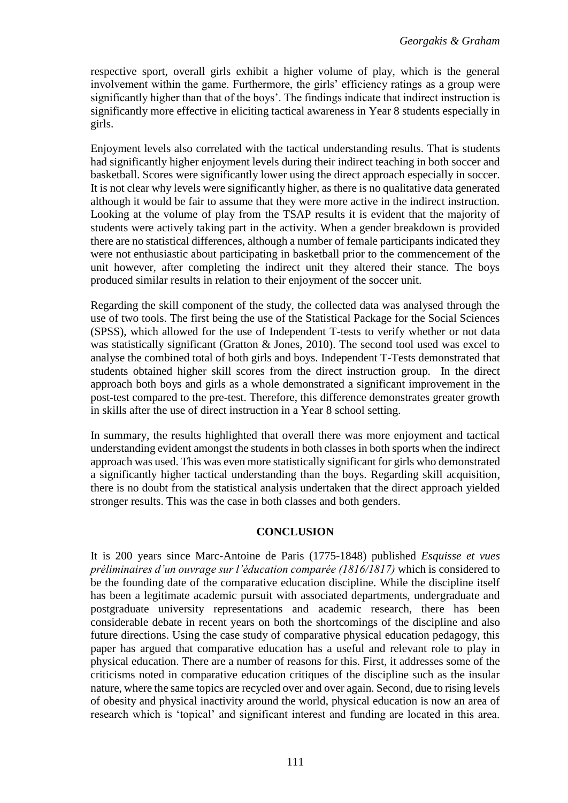respective sport, overall girls exhibit a higher volume of play, which is the general involvement within the game. Furthermore, the girls' efficiency ratings as a group were significantly higher than that of the boys'. The findings indicate that indirect instruction is significantly more effective in eliciting tactical awareness in Year 8 students especially in girls.

Enjoyment levels also correlated with the tactical understanding results. That is students had significantly higher enjoyment levels during their indirect teaching in both soccer and basketball. Scores were significantly lower using the direct approach especially in soccer. It is not clear why levels were significantly higher, as there is no qualitative data generated although it would be fair to assume that they were more active in the indirect instruction. Looking at the volume of play from the TSAP results it is evident that the majority of students were actively taking part in the activity. When a gender breakdown is provided there are no statistical differences, although a number of female participants indicated they were not enthusiastic about participating in basketball prior to the commencement of the unit however, after completing the indirect unit they altered their stance. The boys produced similar results in relation to their enjoyment of the soccer unit.

Regarding the skill component of the study, the collected data was analysed through the use of two tools. The first being the use of the Statistical Package for the Social Sciences (SPSS), which allowed for the use of Independent T-tests to verify whether or not data was statistically significant (Gratton & Jones, 2010). The second tool used was excel to analyse the combined total of both girls and boys. Independent T-Tests demonstrated that students obtained higher skill scores from the direct instruction group. In the direct approach both boys and girls as a whole demonstrated a significant improvement in the post-test compared to the pre-test. Therefore, this difference demonstrates greater growth in skills after the use of direct instruction in a Year 8 school setting.

In summary, the results highlighted that overall there was more enjoyment and tactical understanding evident amongst the students in both classes in both sports when the indirect approach was used. This was even more statistically significant for girls who demonstrated a significantly higher tactical understanding than the boys. Regarding skill acquisition, there is no doubt from the statistical analysis undertaken that the direct approach yielded stronger results. This was the case in both classes and both genders.

## **CONCLUSION**

It is 200 years since Marc-Antoine de Paris (1775-1848) published *[Esquisse et vues](http://bces-conference.org/onewebmedia/jullien.pdf)  [préliminaires d'un ouvrage sur l'éducation comparée \(1816/1817\)](http://bces-conference.org/onewebmedia/jullien.pdf)* which is considered to be the founding date of the comparative education discipline. While the discipline itself has been a legitimate academic pursuit with associated departments, undergraduate and postgraduate university representations and academic research, there has been considerable debate in recent years on both the shortcomings of the discipline and also future directions. Using the case study of comparative physical education pedagogy, this paper has argued that comparative education has a useful and relevant role to play in physical education. There are a number of reasons for this. First, it addresses some of the criticisms noted in comparative education critiques of the discipline such as the insular nature, where the same topics are recycled over and over again. Second, due to rising levels of obesity and physical inactivity around the world, physical education is now an area of research which is 'topical' and significant interest and funding are located in this area.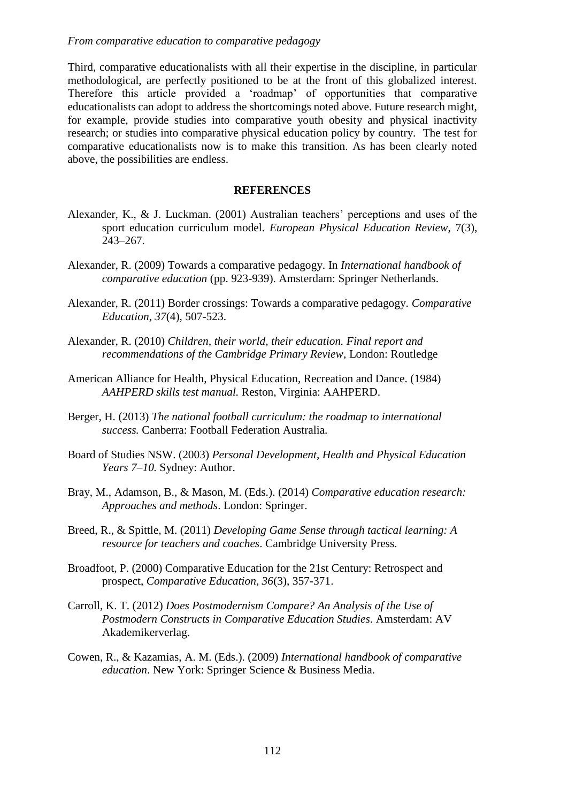Third, comparative educationalists with all their expertise in the discipline, in particular methodological, are perfectly positioned to be at the front of this globalized interest. Therefore this article provided a 'roadmap' of opportunities that comparative educationalists can adopt to address the shortcomings noted above. Future research might, for example, provide studies into comparative youth obesity and physical inactivity research; or studies into comparative physical education policy by country. The test for comparative educationalists now is to make this transition. As has been clearly noted above, the possibilities are endless.

#### **REFERENCES**

- Alexander, K., & J. Luckman. (2001) Australian teachers' perceptions and uses of the sport education curriculum model. *European Physical Education Review*, 7(3), 243–267.
- Alexander, R. (2009) Towards a comparative pedagogy. In *International handbook of comparative education* (pp. 923-939). Amsterdam: Springer Netherlands.
- Alexander, R. (2011) Border crossings: Towards a comparative pedagogy. *Comparative Education*, *37*(4), 507-523.
- Alexander, R. (2010) *Children, their world, their education. Final report and recommendations of the Cambridge Primary Review*, London: Routledge
- American Alliance for Health, Physical Education, Recreation and Dance. (1984) *AAHPERD skills test manual.* Reston, Virginia: AAHPERD.
- Berger, H. (2013) *The national football curriculum: the roadmap to international success.* Canberra: Football Federation Australia.
- Board of Studies NSW. (2003) *Personal Development, Health and Physical Education Years 7–10.* Sydney: Author.
- Bray, M., Adamson, B., & Mason, M. (Eds.). (2014) *Comparative education research: Approaches and methods*. London: Springer.
- Breed, R., & Spittle, M. (2011) *Developing Game Sense through tactical learning: A resource for teachers and coaches*. Cambridge University Press.
- Broadfoot, P. (2000) Comparative Education for the 21st Century: Retrospect and prospect, *Comparative Education, 36*(3), 357-371.
- Carroll, K. T. (2012) *Does Postmodernism Compare? An Analysis of the Use of Postmodern Constructs in Comparative Education Studies*. Amsterdam: AV Akademikerverlag.
- Cowen, R., & Kazamias, A. M. (Eds.). (2009) *International handbook of comparative education*. New York: Springer Science & Business Media.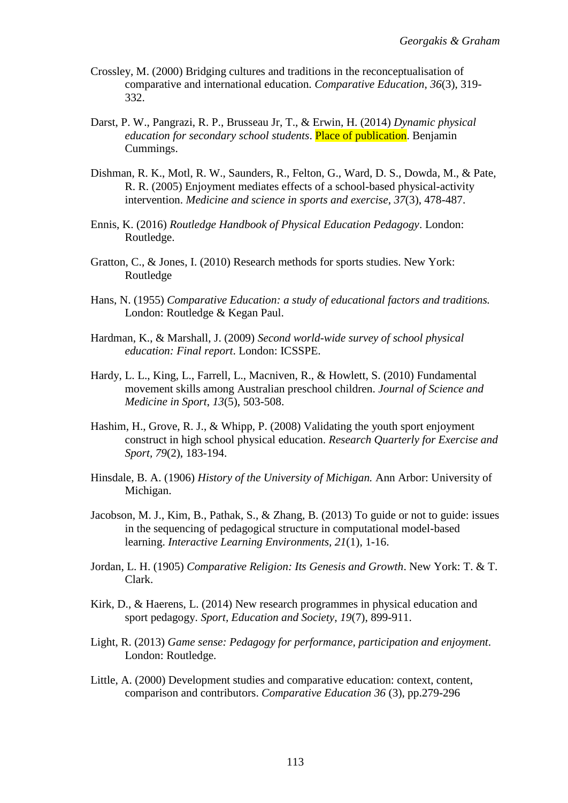- Crossley, M. (2000) Bridging cultures and traditions in the reconceptualisation of comparative and international education. *Comparative Education*, *36*(3), 319- 332.
- Darst, P. W., Pangrazi, R. P., Brusseau Jr, T., & Erwin, H. (2014) *Dynamic physical education for secondary school students*. Place of publication. Benjamin Cummings.
- Dishman, R. K., Motl, R. W., Saunders, R., Felton, G., Ward, D. S., Dowda, M., & Pate, R. R. (2005) Enjoyment mediates effects of a school-based physical-activity intervention. *Medicine and science in sports and exercise*, *37*(3), 478-487.
- Ennis, K. (2016) *Routledge Handbook of Physical Education Pedagogy*. London: Routledge.
- Gratton, C., & Jones, I. (2010) Research methods for sports studies. New York: Routledge
- Hans, N. (1955) *Comparative Education: a study of educational factors and traditions.* London: Routledge & Kegan Paul.
- Hardman, K., & Marshall, J. (2009) *Second world-wide survey of school physical education: Final report*. London: ICSSPE.
- Hardy, L. L., King, L., Farrell, L., Macniven, R., & Howlett, S. (2010) Fundamental movement skills among Australian preschool children. *Journal of Science and Medicine in Sport*, *13*(5), 503-508.
- Hashim, H., Grove, R. J., & Whipp, P. (2008) Validating the youth sport enjoyment construct in high school physical education. *Research Quarterly for Exercise and Sport, 79*(2), 183-194.
- Hinsdale, B. A. (1906) *History of the University of Michigan.* Ann Arbor: University of Michigan.
- Jacobson, M. J., Kim, B., Pathak, S., & Zhang, B. (2013) To guide or not to guide: issues in the sequencing of pedagogical structure in computational model-based learning. *Interactive Learning Environments, 21*(1), 1-16.
- Jordan, L. H. (1905) *Comparative Religion: Its Genesis and Growth*. New York: T. & T. Clark.
- Kirk, D., & Haerens, L. (2014) New research programmes in physical education and sport pedagogy. *Sport, Education and Society*, *19*(7), 899-911.
- Light, R. (2013) *Game sense: Pedagogy for performance, participation and enjoyment*. London: Routledge.
- Little, A. (2000) Development studies and comparative education: context, content, comparison and contributors. *Comparative Education 36* (3), pp.279-296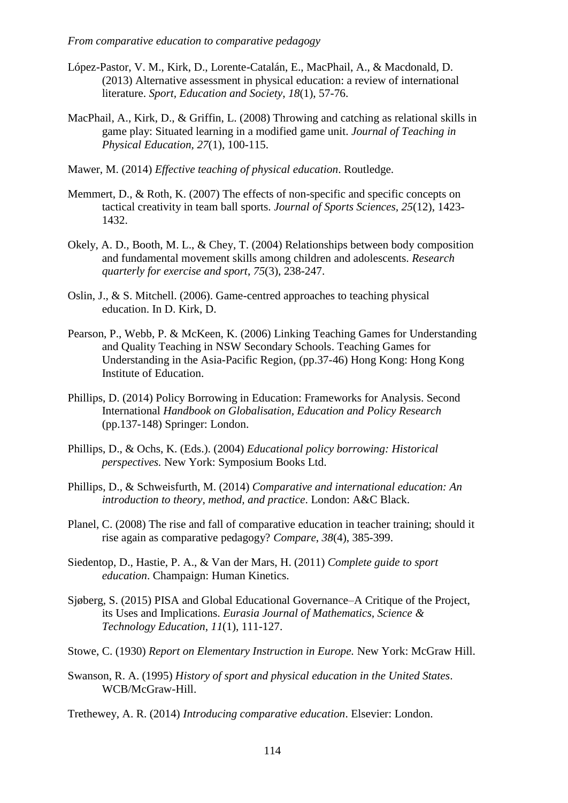- López-Pastor, V. M., Kirk, D., Lorente-Catalán, E., MacPhail, A., & Macdonald, D. (2013) Alternative assessment in physical education: a review of international literature. *Sport, Education and Society*, *18*(1), 57-76.
- MacPhail, A., Kirk, D., & Griffin, L. (2008) Throwing and catching as relational skills in game play: Situated learning in a modified game unit. *Journal of Teaching in Physical Education, 27*(1), 100-115.
- Mawer, M. (2014) *Effective teaching of physical education*. Routledge.
- Memmert, D., & Roth, K. (2007) The effects of non-specific and specific concepts on tactical creativity in team ball sports. *Journal of Sports Sciences, 25*(12), 1423- 1432.
- Okely, A. D., Booth, M. L., & Chey, T. (2004) Relationships between body composition and fundamental movement skills among children and adolescents. *Research quarterly for exercise and sport*, *75*(3), 238-247.
- Oslin, J., & S. Mitchell. (2006). Game-centred approaches to teaching physical education. In D. Kirk, D.
- Pearson, P., Webb, P. & McKeen, K. (2006) Linking Teaching Games for Understanding and Quality Teaching in NSW Secondary Schools. Teaching Games for Understanding in the Asia-Pacific Region, (pp.37-46) Hong Kong: Hong Kong Institute of Education.
- Phillips, D. (2014) Policy Borrowing in Education: Frameworks for Analysis. Second International *Handbook on Globalisation, Education and Policy Research* (pp.137-148) Springer: London.
- Phillips, D., & Ochs, K. (Eds.). (2004) *Educational policy borrowing: Historical perspectives.* New York: Symposium Books Ltd.
- Phillips, D., & Schweisfurth, M. (2014) *Comparative and international education: An introduction to theory, method, and practice*. London: A&C Black.
- Planel, C. (2008) The rise and fall of comparative education in teacher training; should it rise again as comparative pedagogy? *Compare*, *38*(4), 385-399.
- Siedentop, D., Hastie, P. A., & Van der Mars, H. (2011) *Complete guide to sport education*. Champaign: Human Kinetics.
- Sjøberg, S. (2015) PISA and Global Educational Governance–A Critique of the Project, its Uses and Implications. *Eurasia Journal of Mathematics, Science & Technology Education*, *11*(1), 111-127.
- Stowe, C. (1930) *Report on Elementary Instruction in Europe.* New York: McGraw Hill.
- Swanson, R. A. (1995) *History of sport and physical education in the United States*. WCB/McGraw-Hill.
- Trethewey, A. R. (2014) *Introducing comparative education*. Elsevier: London.